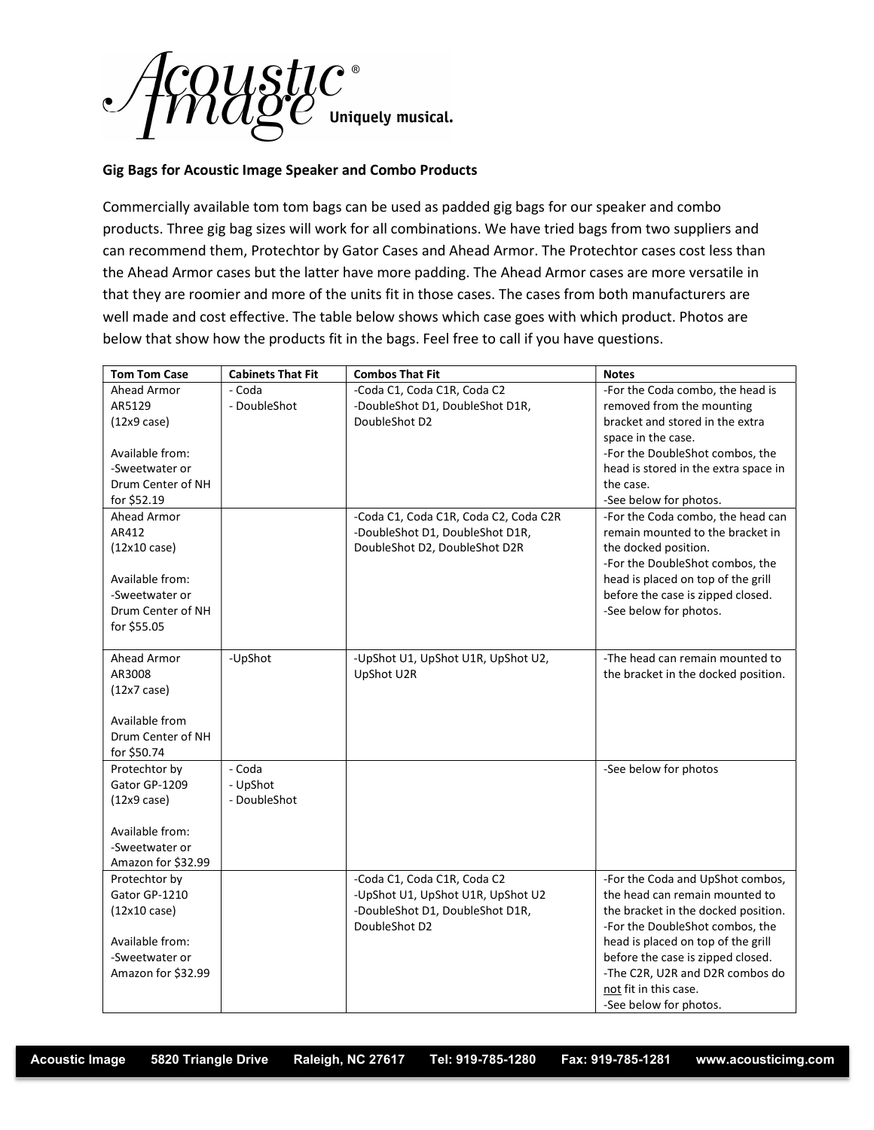

## Gig Bags for Acoustic Image Speaker and Combo Products

Commercially available tom tom bags can be used as padded gig bags for our speaker and combo products. Three gig bag sizes will work for all combinations. We have tried bags from two suppliers and can recommend them, Protechtor by Gator Cases and Ahead Armor. The Protechtor cases cost less than the Ahead Armor cases but the latter have more padding. The Ahead Armor cases are more versatile in that they are roomier and more of the units fit in those cases. The cases from both manufacturers are well made and cost effective. The table below shows which case goes with which product. Photos are below that show how the products fit in the bags. Feel free to call if you have questions.

| <b>Tom Tom Case</b>     | <b>Cabinets That Fit</b> | <b>Combos That Fit</b>                | <b>Notes</b>                         |
|-------------------------|--------------------------|---------------------------------------|--------------------------------------|
| Ahead Armor             | - Coda                   | -Coda C1, Coda C1R, Coda C2           | -For the Coda combo, the head is     |
| AR5129                  | - DoubleShot             | -DoubleShot D1, DoubleShot D1R,       | removed from the mounting            |
| $(12x9 \, case)$        |                          | DoubleShot D2                         | bracket and stored in the extra      |
|                         |                          |                                       | space in the case.                   |
| Available from:         |                          |                                       | -For the DoubleShot combos, the      |
| -Sweetwater or          |                          |                                       | head is stored in the extra space in |
| Drum Center of NH       |                          |                                       | the case.                            |
| for \$52.19             |                          |                                       | -See below for photos.               |
| Ahead Armor             |                          | -Coda C1, Coda C1R, Coda C2, Coda C2R | -For the Coda combo, the head can    |
| AR412                   |                          | -DoubleShot D1, DoubleShot D1R,       | remain mounted to the bracket in     |
| $(12x10 \text{ case})$  |                          | DoubleShot D2, DoubleShot D2R         | the docked position.                 |
|                         |                          |                                       | -For the DoubleShot combos, the      |
| Available from:         |                          |                                       | head is placed on top of the grill   |
| -Sweetwater or          |                          |                                       | before the case is zipped closed.    |
| Drum Center of NH       |                          |                                       | -See below for photos.               |
| for \$55.05             |                          |                                       |                                      |
| Ahead Armor             | -UpShot                  | -UpShot U1, UpShot U1R, UpShot U2,    | -The head can remain mounted to      |
| AR3008                  |                          | UpShot U2R                            | the bracket in the docked position.  |
| $(12x7 \, \text{case})$ |                          |                                       |                                      |
|                         |                          |                                       |                                      |
| Available from          |                          |                                       |                                      |
| Drum Center of NH       |                          |                                       |                                      |
| for \$50.74             |                          |                                       |                                      |
| Protechtor by           | - Coda                   |                                       | -See below for photos                |
| Gator GP-1209           | - UpShot                 |                                       |                                      |
| $(12x9 \, case)$        | - DoubleShot             |                                       |                                      |
|                         |                          |                                       |                                      |
| Available from:         |                          |                                       |                                      |
| -Sweetwater or          |                          |                                       |                                      |
| Amazon for \$32.99      |                          |                                       |                                      |
| Protechtor by           |                          | -Coda C1, Coda C1R, Coda C2           | -For the Coda and UpShot combos,     |
| Gator GP-1210           |                          | -UpShot U1, UpShot U1R, UpShot U2     | the head can remain mounted to       |
| $(12x10 \text{ case})$  |                          | -DoubleShot D1, DoubleShot D1R,       | the bracket in the docked position.  |
|                         |                          | DoubleShot D2                         | -For the DoubleShot combos, the      |
| Available from:         |                          |                                       | head is placed on top of the grill   |
| -Sweetwater or          |                          |                                       | before the case is zipped closed.    |
| Amazon for \$32.99      |                          |                                       | -The C2R, U2R and D2R combos do      |
|                         |                          |                                       | not fit in this case.                |
|                         |                          |                                       | -See below for photos.               |

Acoustic Image 5820 Triangle Drive Raleigh, NC 27617 Tel: 919-785-1280 Fax: 919-785-1281 www.acousticimg.com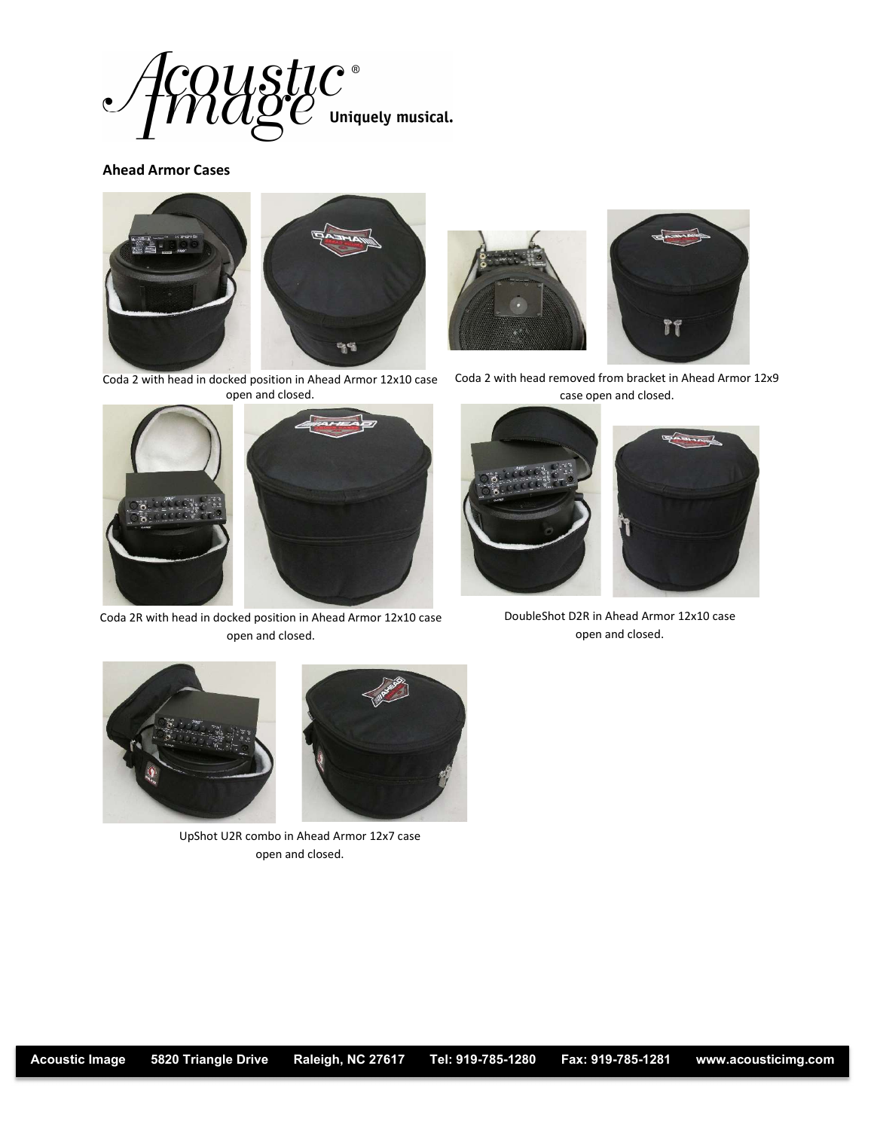

## Ahead Armor Cases



Coda 2 with head in docked position in Ahead Armor 12x10 case open and closed.



Coda 2R with head in docked position in Ahead Armor 12x10 case open and closed.





Coda 2 with head removed from bracket in Ahead Armor 12x9 case open and closed.



DoubleShot D2R in Ahead Armor 12x10 case open and closed.





UpShot U2R combo in Ahead Armor 12x7 case open and closed.